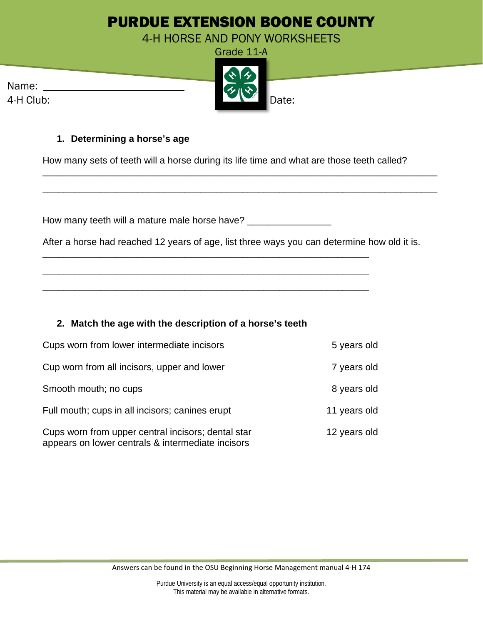# PURDUE EXTENSION BOONE COUNTY

4-H HORSE AND PONY WORKSHEETS

|                    | Grade 11-A          |  |
|--------------------|---------------------|--|
| Name:<br>4-H Club: | ふみ<br>くろハぐ<br>Date: |  |

#### **1. Determining a horse's age**

How many sets of teeth will a horse during its life time and what are those teeth called?

\_\_\_\_\_\_\_\_\_\_\_\_\_\_\_\_\_\_\_\_\_\_\_\_\_\_\_\_\_\_\_\_\_\_\_\_\_\_\_\_\_\_\_\_\_\_\_\_\_\_\_\_\_\_\_\_\_\_\_\_\_\_\_\_\_\_\_\_\_\_\_\_\_\_\_

\_\_\_\_\_\_\_\_\_\_\_\_\_\_\_\_\_\_\_\_\_\_\_\_\_\_\_\_\_\_\_\_\_\_\_\_\_\_\_\_\_\_\_\_\_\_\_\_\_\_\_\_\_\_\_\_\_\_\_\_\_\_\_\_\_\_\_\_\_\_\_\_\_\_\_

|  | How many teeth will a mature male horse have? |  |
|--|-----------------------------------------------|--|
|--|-----------------------------------------------|--|

\_\_\_\_\_\_\_\_\_\_\_\_\_\_\_\_\_\_\_\_\_\_\_\_\_\_\_\_\_\_\_\_\_\_\_\_\_\_\_\_\_\_\_\_\_\_\_\_\_\_\_\_\_\_\_\_\_\_\_\_\_\_

\_\_\_\_\_\_\_\_\_\_\_\_\_\_\_\_\_\_\_\_\_\_\_\_\_\_\_\_\_\_\_\_\_\_\_\_\_\_\_\_\_\_\_\_\_\_\_\_\_\_\_\_\_\_\_\_\_\_\_\_\_\_

\_\_\_\_\_\_\_\_\_\_\_\_\_\_\_\_\_\_\_\_\_\_\_\_\_\_\_\_\_\_\_\_\_\_\_\_\_\_\_\_\_\_\_\_\_\_\_\_\_\_\_\_\_\_\_\_\_\_\_\_\_\_

After a horse had reached 12 years of age, list three ways you can determine how old it is.

### **2. Match the age with the description of a horse's teeth**

| Cups worn from lower intermediate incisors                                                              | 5 years old  |  |
|---------------------------------------------------------------------------------------------------------|--------------|--|
| Cup worn from all incisors, upper and lower                                                             | 7 years old  |  |
| Smooth mouth; no cups                                                                                   | 8 years old  |  |
| Full mouth; cups in all incisors; canines erupt                                                         | 11 years old |  |
| Cups worn from upper central incisors; dental star<br>appears on lower centrals & intermediate incisors | 12 years old |  |